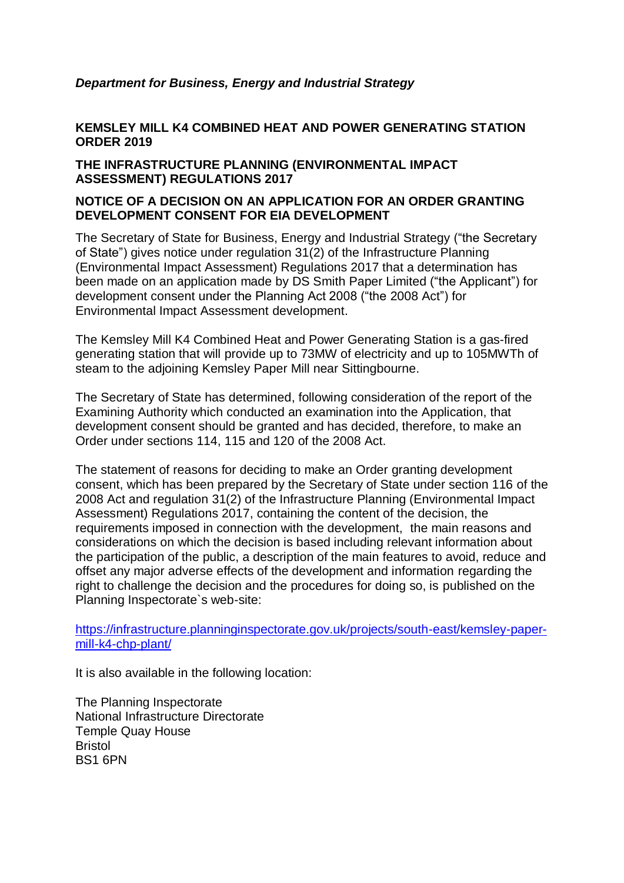## *Department for Business, Energy and Industrial Strategy*

## **KEMSLEY MILL K4 COMBINED HEAT AND POWER GENERATING STATION ORDER 2019**

## **THE INFRASTRUCTURE PLANNING (ENVIRONMENTAL IMPACT ASSESSMENT) REGULATIONS 2017**

## **NOTICE OF A DECISION ON AN APPLICATION FOR AN ORDER GRANTING DEVELOPMENT CONSENT FOR EIA DEVELOPMENT**

The Secretary of State for Business, Energy and Industrial Strategy ("the Secretary of State") gives notice under regulation 31(2) of the Infrastructure Planning (Environmental Impact Assessment) Regulations 2017 that a determination has been made on an application made by DS Smith Paper Limited ("the Applicant") for development consent under the Planning Act 2008 ("the 2008 Act") for Environmental Impact Assessment development.

The Kemsley Mill K4 Combined Heat and Power Generating Station is a gas-fired generating station that will provide up to 73MW of electricity and up to 105MWTh of steam to the adjoining Kemsley Paper Mill near Sittingbourne.

The Secretary of State has determined, following consideration of the report of the Examining Authority which conducted an examination into the Application, that development consent should be granted and has decided, therefore, to make an Order under sections 114, 115 and 120 of the 2008 Act.

The statement of reasons for deciding to make an Order granting development consent, which has been prepared by the Secretary of State under section 116 of the 2008 Act and regulation 31(2) of the Infrastructure Planning (Environmental Impact Assessment) Regulations 2017, containing the content of the decision, the requirements imposed in connection with the development, the main reasons and considerations on which the decision is based including relevant information about the participation of the public, a description of the main features to avoid, reduce and offset any major adverse effects of the development and information regarding the right to challenge the decision and the procedures for doing so, is published on the Planning Inspectorate`s web-site:

[https://infrastructure.planninginspectorate.gov.uk/projects/south-east/kemsley-paper](https://infrastructure.planninginspectorate.gov.uk/projects/south-east/kemsley-paper-mill-k4-chp-plant/)[mill-k4-chp-plant/](https://infrastructure.planninginspectorate.gov.uk/projects/south-east/kemsley-paper-mill-k4-chp-plant/)

It is also available in the following location:

The Planning Inspectorate National Infrastructure Directorate Temple Quay House Bristol BS1 6PN